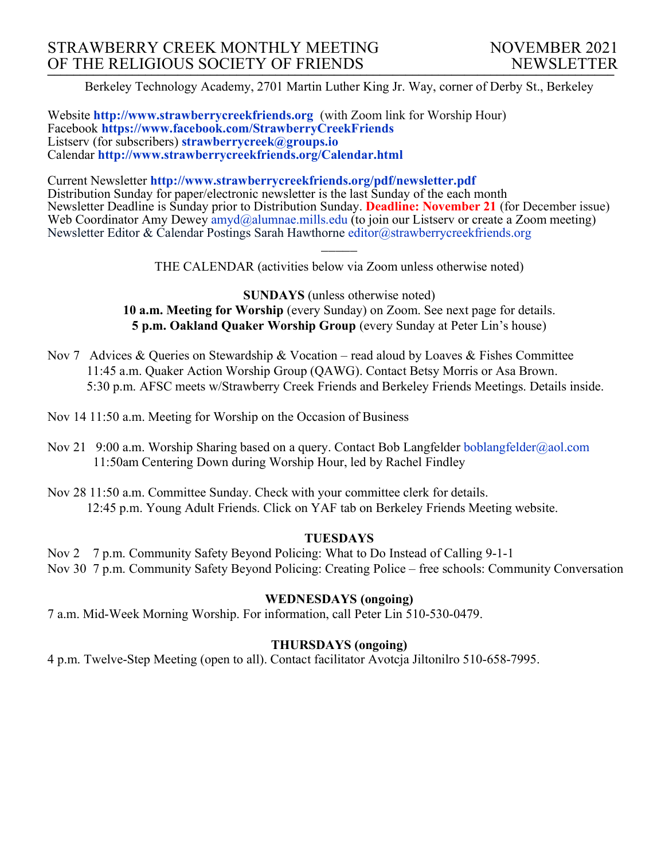Berkeley Technology Academy, 2701 Martin Luther King Jr. Way, corner of Derby St., Berkeley

Website **http://www.strawberrycreekfriends.org** (with Zoom link for Worship Hour) Facebook **https://www.facebook.com/StrawberryCreekFriends** Listserv (for subscribers) **strawberrycreek@groups.io** Calendar **http://www.strawberrycreekfriends.org/Calendar.html**

Current Newsletter **http://www.strawberrycreekfriends.org/pdf/newsletter.pdf** Distribution Sunday for paper/electronic newsletter is the last Sunday of the each month Newsletter Deadline is Sunday prior to Distribution Sunday. **Deadline: November 21** (for December issue) Web Coordinator Amy Dewey  $\frac{am\ddot{a}}{am\ddot{a}}$ alumnae.mills.edu (to join our Listserv or create a Zoom meeting) Newsletter Editor & Calendar Postings Sarah Hawthorne editor@strawberrycreekfriends.org

> $\overline{\phantom{a}}$ THE CALENDAR (activities below via Zoom unless otherwise noted)

**SUNDAYS** (unless otherwise noted) **10 a.m. Meeting for Worship** (every Sunday) on Zoom. See next page for details. **5 p.m. Oakland Quaker Worship Group** (every Sunday at Peter Lin's house)

- Nov 7 Advices & Queries on Stewardship & Vocation read aloud by Loaves & Fishes Committee 11:45 a.m. Quaker Action Worship Group (QAWG). Contact Betsy Morris or Asa Brown. 5:30 p.m. AFSC meets w/Strawberry Creek Friends and Berkeley Friends Meetings. Details inside.
- Nov 14 11:50 a.m. Meeting for Worship on the Occasion of Business
- Nov 21 9:00 a.m. Worship Sharing based on a query. Contact Bob Langfelder boblangfelder@aol.com 11:50am Centering Down during Worship Hour, led by Rachel Findley
- Nov 28 11:50 a.m. Committee Sunday. Check with your committee clerk for details. 12:45 p.m. Young Adult Friends. Click on YAF tab on Berkeley Friends Meeting website.

## **TUESDAYS**

Nov 2 7 p.m. Community Safety Beyond Policing: What to Do Instead of Calling 9-1-1 Nov 30 7 p.m. Community Safety Beyond Policing: Creating Police – free schools: Community Conversation

## **WEDNESDAYS (ongoing)**

7 a.m. Mid-Week Morning Worship. For information, call Peter Lin 510-530-0479.

# **THURSDAYS (ongoing)**

4 p.m. Twelve-Step Meeting (open to all). Contact facilitator Avotcja Jiltonilro 510-658-7995.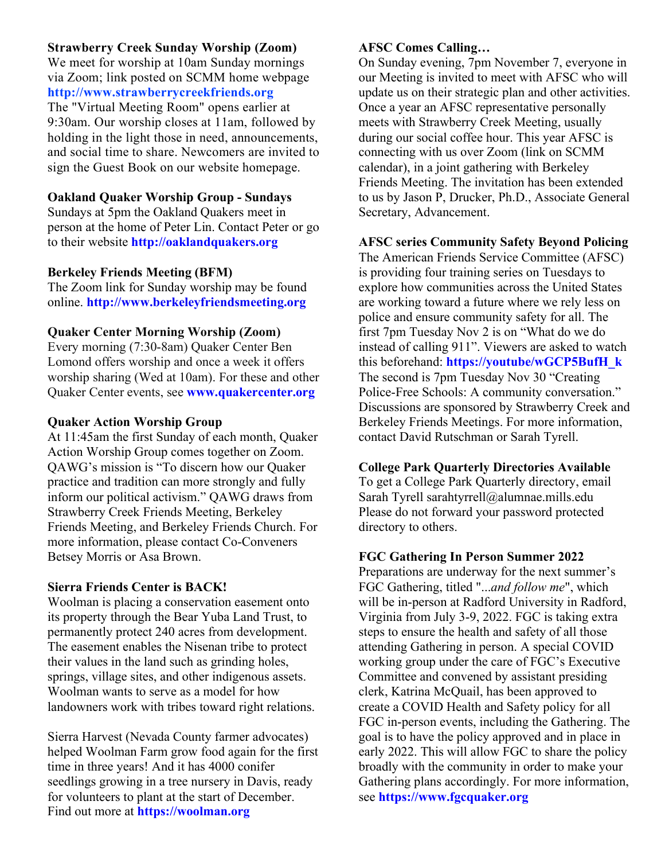# **Strawberry Creek Sunday Worship (Zoom)**

We meet for worship at 10am Sunday mornings via Zoom; link posted on SCMM home webpage **http://www.strawberrycreekfriends.org** The "Virtual Meeting Room" opens earlier at 9:30am. Our worship closes at 11am, followed by holding in the light those in need, announcements, and social time to share. Newcomers are invited to sign the Guest Book on our website homepage.

## **Oakland Quaker Worship Group - Sundays**

Sundays at 5pm the Oakland Quakers meet in person at the home of Peter Lin. Contact Peter or go to their website **http://oaklandquakers.org**

## **Berkeley Friends Meeting (BFM)**

The Zoom link for Sunday worship may be found online. **http://www.berkeleyfriendsmeeting.org**

### **Quaker Center Morning Worship (Zoom)**

Every morning (7:30-8am) Quaker Center Ben Lomond offers worship and once a week it offers worship sharing (Wed at 10am). For these and other Quaker Center events, see **www.quakercenter.org**

### **Quaker Action Worship Group**

At 11:45am the first Sunday of each month, Quaker Action Worship Group comes together on Zoom. QAWG's mission is "To discern how our Quaker practice and tradition can more strongly and fully inform our political activism." QAWG draws from Strawberry Creek Friends Meeting, Berkeley Friends Meeting, and Berkeley Friends Church. For more information, please contact Co-Conveners Betsey Morris or Asa Brown.

# **Sierra Friends Center is BACK!**

Woolman is placing a conservation easement onto its property through the Bear Yuba Land Trust, to permanently protect 240 acres from development. The easement enables the Nisenan tribe to protect their values in the land such as grinding holes, springs, village sites, and other indigenous assets. Woolman wants to serve as a model for how landowners work with tribes toward right relations.

Sierra Harvest (Nevada County farmer advocates) helped Woolman Farm grow food again for the first time in three years! And it has 4000 conifer seedlings growing in a tree nursery in Davis, ready for volunteers to plant at the start of December. Find out more at **https://woolman.org**

# **AFSC Comes Calling…**

On Sunday evening, 7pm November 7, everyone in our Meeting is invited to meet with AFSC who will update us on their strategic plan and other activities. Once a year an AFSC representative personally meets with Strawberry Creek Meeting, usually during our social coffee hour. This year AFSC is connecting with us over Zoom (link on SCMM calendar), in a joint gathering with Berkeley Friends Meeting. The invitation has been extended to us by Jason P, Drucker, Ph.D., Associate General Secretary, Advancement.

## **AFSC series Community Safety Beyond Policing**

The American Friends Service Committee (AFSC) is providing four training series on Tuesdays to explore how communities across the United States are working toward a future where we rely less on police and ensure community safety for all. The first 7pm Tuesday Nov 2 is on "What do we do instead of calling 911". Viewers are asked to watch this beforehand: **https://youtube/wGCP5BufH\_k** The second is 7pm Tuesday Nov 30 "Creating Police-Free Schools: A community conversation." Discussions are sponsored by Strawberry Creek and Berkeley Friends Meetings. For more information, contact David Rutschman or Sarah Tyrell.

### **College Park Quarterly Directories Available**

To get a College Park Quarterly directory, email Sarah Tyrell sarahtyrrell@alumnae.mills.edu Please do not forward your password protected directory to others.

### **FGC Gathering In Person Summer 2022**

Preparations are underway for the next summer's FGC Gathering, titled "...*and follow me*", which will be in-person at Radford University in Radford, Virginia from July 3-9, 2022. FGC is taking extra steps to ensure the health and safety of all those attending Gathering in person. A special COVID working group under the care of FGC's Executive Committee and convened by assistant presiding clerk, Katrina McQuail, has been approved to create a COVID Health and Safety policy for all FGC in-person events, including the Gathering. The goal is to have the policy approved and in place in early 2022. This will allow FGC to share the policy broadly with the community in order to make your Gathering plans accordingly. For more information, see **https://www.fgcquaker.org**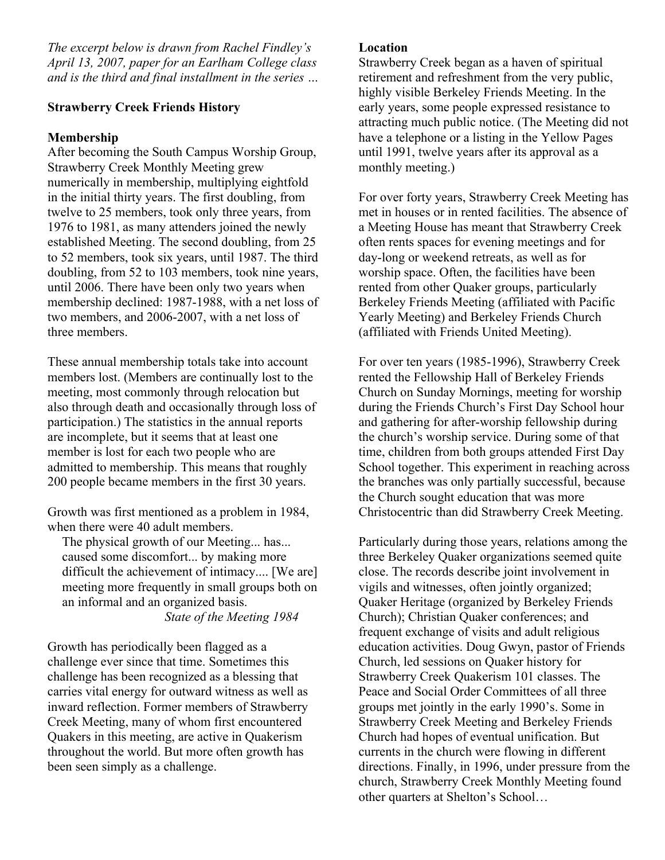*The excerpt below is drawn from Rachel Findley's April 13, 2007, paper for an Earlham College class and is the third and final installment in the series …*

# **Strawberry Creek Friends History**

# **Membership**

After becoming the South Campus Worship Group, Strawberry Creek Monthly Meeting grew numerically in membership, multiplying eightfold in the initial thirty years. The first doubling, from twelve to 25 members, took only three years, from 1976 to 1981, as many attenders joined the newly established Meeting. The second doubling, from 25 to 52 members, took six years, until 1987. The third doubling, from 52 to 103 members, took nine years, until 2006. There have been only two years when membership declined: 1987-1988, with a net loss of two members, and 2006-2007, with a net loss of three members.

These annual membership totals take into account members lost. (Members are continually lost to the meeting, most commonly through relocation but also through death and occasionally through loss of participation.) The statistics in the annual reports are incomplete, but it seems that at least one member is lost for each two people who are admitted to membership. This means that roughly 200 people became members in the first 30 years.

Growth was first mentioned as a problem in 1984, when there were 40 adult members.

The physical growth of our Meeting... has... caused some discomfort... by making more difficult the achievement of intimacy.... [We are] meeting more frequently in small groups both on an informal and an organized basis.

*State of the Meeting 1984*

Growth has periodically been flagged as a challenge ever since that time. Sometimes this challenge has been recognized as a blessing that carries vital energy for outward witness as well as inward reflection. Former members of Strawberry Creek Meeting, many of whom first encountered Quakers in this meeting, are active in Quakerism throughout the world. But more often growth has been seen simply as a challenge.

# **Location**

Strawberry Creek began as a haven of spiritual retirement and refreshment from the very public, highly visible Berkeley Friends Meeting. In the early years, some people expressed resistance to attracting much public notice. (The Meeting did not have a telephone or a listing in the Yellow Pages until 1991, twelve years after its approval as a monthly meeting.)

For over forty years, Strawberry Creek Meeting has met in houses or in rented facilities. The absence of a Meeting House has meant that Strawberry Creek often rents spaces for evening meetings and for day-long or weekend retreats, as well as for worship space. Often, the facilities have been rented from other Quaker groups, particularly Berkeley Friends Meeting (affiliated with Pacific Yearly Meeting) and Berkeley Friends Church (affiliated with Friends United Meeting).

For over ten years (1985-1996), Strawberry Creek rented the Fellowship Hall of Berkeley Friends Church on Sunday Mornings, meeting for worship during the Friends Church's First Day School hour and gathering for after-worship fellowship during the church's worship service. During some of that time, children from both groups attended First Day School together. This experiment in reaching across the branches was only partially successful, because the Church sought education that was more Christocentric than did Strawberry Creek Meeting.

Particularly during those years, relations among the three Berkeley Quaker organizations seemed quite close. The records describe joint involvement in vigils and witnesses, often jointly organized; Quaker Heritage (organized by Berkeley Friends Church); Christian Quaker conferences; and frequent exchange of visits and adult religious education activities. Doug Gwyn, pastor of Friends Church, led sessions on Quaker history for Strawberry Creek Quakerism 101 classes. The Peace and Social Order Committees of all three groups met jointly in the early 1990's. Some in Strawberry Creek Meeting and Berkeley Friends Church had hopes of eventual unification. But currents in the church were flowing in different directions. Finally, in 1996, under pressure from the church, Strawberry Creek Monthly Meeting found other quarters at Shelton's School…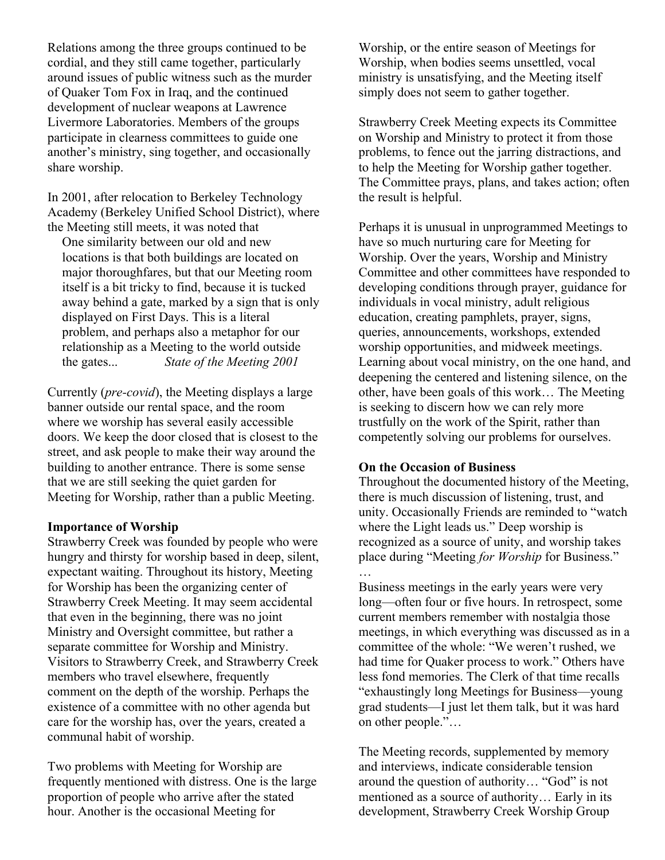Relations among the three groups continued to be cordial, and they still came together, particularly around issues of public witness such as the murder of Quaker Tom Fox in Iraq, and the continued development of nuclear weapons at Lawrence Livermore Laboratories. Members of the groups participate in clearness committees to guide one another's ministry, sing together, and occasionally share worship.

In 2001, after relocation to Berkeley Technology Academy (Berkeley Unified School District), where the Meeting still meets, it was noted that

One similarity between our old and new locations is that both buildings are located on major thoroughfares, but that our Meeting room itself is a bit tricky to find, because it is tucked away behind a gate, marked by a sign that is only displayed on First Days. This is a literal problem, and perhaps also a metaphor for our relationship as a Meeting to the world outside the gates... *State of the Meeting 2001*

Currently (*pre-covid*), the Meeting displays a large banner outside our rental space, and the room where we worship has several easily accessible doors. We keep the door closed that is closest to the street, and ask people to make their way around the building to another entrance. There is some sense that we are still seeking the quiet garden for Meeting for Worship, rather than a public Meeting.

### **Importance of Worship**

Strawberry Creek was founded by people who were hungry and thirsty for worship based in deep, silent, expectant waiting. Throughout its history, Meeting for Worship has been the organizing center of Strawberry Creek Meeting. It may seem accidental that even in the beginning, there was no joint Ministry and Oversight committee, but rather a separate committee for Worship and Ministry. Visitors to Strawberry Creek, and Strawberry Creek members who travel elsewhere, frequently comment on the depth of the worship. Perhaps the existence of a committee with no other agenda but care for the worship has, over the years, created a communal habit of worship.

Two problems with Meeting for Worship are frequently mentioned with distress. One is the large proportion of people who arrive after the stated hour. Another is the occasional Meeting for

Worship, or the entire season of Meetings for Worship, when bodies seems unsettled, vocal ministry is unsatisfying, and the Meeting itself simply does not seem to gather together.

Strawberry Creek Meeting expects its Committee on Worship and Ministry to protect it from those problems, to fence out the jarring distractions, and to help the Meeting for Worship gather together. The Committee prays, plans, and takes action; often the result is helpful.

Perhaps it is unusual in unprogrammed Meetings to have so much nurturing care for Meeting for Worship. Over the years, Worship and Ministry Committee and other committees have responded to developing conditions through prayer, guidance for individuals in vocal ministry, adult religious education, creating pamphlets, prayer, signs, queries, announcements, workshops, extended worship opportunities, and midweek meetings. Learning about vocal ministry, on the one hand, and deepening the centered and listening silence, on the other, have been goals of this work… The Meeting is seeking to discern how we can rely more trustfully on the work of the Spirit, rather than competently solving our problems for ourselves.

## **On the Occasion of Business**

Throughout the documented history of the Meeting, there is much discussion of listening, trust, and unity. Occasionally Friends are reminded to "watch where the Light leads us." Deep worship is recognized as a source of unity, and worship takes place during "Meeting *for Worship* for Business." …

Business meetings in the early years were very long—often four or five hours. In retrospect, some current members remember with nostalgia those meetings, in which everything was discussed as in a committee of the whole: "We weren't rushed, we had time for Quaker process to work." Others have less fond memories. The Clerk of that time recalls "exhaustingly long Meetings for Business—young grad students—I just let them talk, but it was hard on other people."…

The Meeting records, supplemented by memory and interviews, indicate considerable tension around the question of authority… "God" is not mentioned as a source of authority… Early in its development, Strawberry Creek Worship Group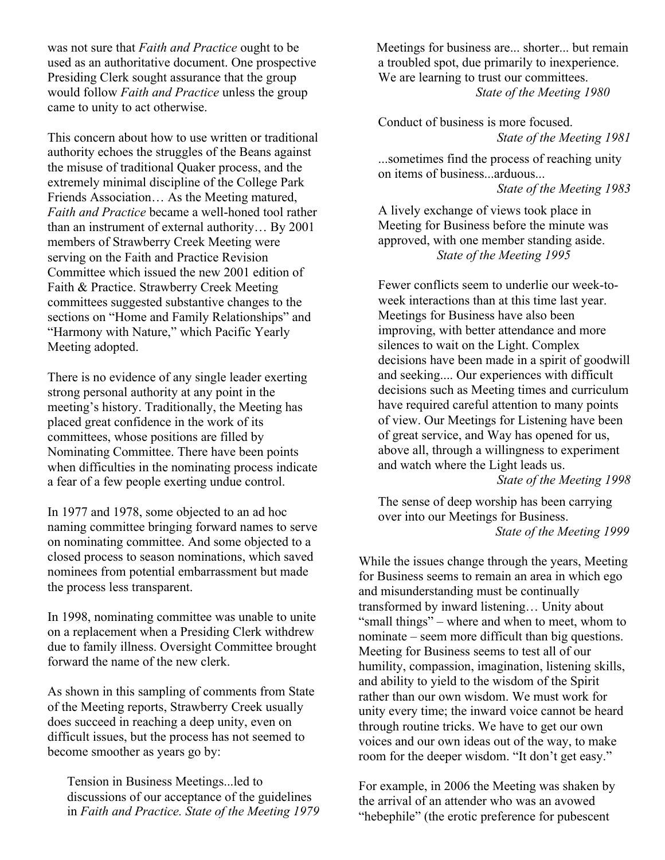was not sure that *Faith and Practice* ought to be used as an authoritative document. One prospective Presiding Clerk sought assurance that the group would follow *Faith and Practice* unless the group came to unity to act otherwise.

This concern about how to use written or traditional authority echoes the struggles of the Beans against the misuse of traditional Quaker process, and the extremely minimal discipline of the College Park Friends Association… As the Meeting matured, *Faith and Practice* became a well-honed tool rather than an instrument of external authority… By 2001 members of Strawberry Creek Meeting were serving on the Faith and Practice Revision Committee which issued the new 2001 edition of Faith & Practice. Strawberry Creek Meeting committees suggested substantive changes to the sections on "Home and Family Relationships" and "Harmony with Nature," which Pacific Yearly Meeting adopted.

There is no evidence of any single leader exerting strong personal authority at any point in the meeting's history. Traditionally, the Meeting has placed great confidence in the work of its committees, whose positions are filled by Nominating Committee. There have been points when difficulties in the nominating process indicate a fear of a few people exerting undue control.

In 1977 and 1978, some objected to an ad hoc naming committee bringing forward names to serve on nominating committee. And some objected to a closed process to season nominations, which saved nominees from potential embarrassment but made the process less transparent.

In 1998, nominating committee was unable to unite on a replacement when a Presiding Clerk withdrew due to family illness. Oversight Committee brought forward the name of the new clerk.

As shown in this sampling of comments from State of the Meeting reports, Strawberry Creek usually does succeed in reaching a deep unity, even on difficult issues, but the process has not seemed to become smoother as years go by:

Tension in Business Meetings...led to discussions of our acceptance of the guidelines in *Faith and Practice. State of the Meeting 1979* Meetings for business are... shorter... but remain a troubled spot, due primarily to inexperience. We are learning to trust our committees. *State of the Meeting 1980*

Conduct of business is more focused. *State of the Meeting 1981*

...sometimes find the process of reaching unity on items of business...arduous... *State of the Meeting 1983*

A lively exchange of views took place in Meeting for Business before the minute was approved, with one member standing aside. *State of the Meeting 1995*

Fewer conflicts seem to underlie our week-toweek interactions than at this time last year. Meetings for Business have also been improving, with better attendance and more silences to wait on the Light. Complex decisions have been made in a spirit of goodwill and seeking.... Our experiences with difficult decisions such as Meeting times and curriculum have required careful attention to many points of view. Our Meetings for Listening have been of great service, and Way has opened for us, above all, through a willingness to experiment and watch where the Light leads us.

*State of the Meeting 1998*

The sense of deep worship has been carrying over into our Meetings for Business. *State of the Meeting 1999*

While the issues change through the years, Meeting for Business seems to remain an area in which ego and misunderstanding must be continually transformed by inward listening… Unity about "small things" – where and when to meet, whom to nominate – seem more difficult than big questions. Meeting for Business seems to test all of our humility, compassion, imagination, listening skills, and ability to yield to the wisdom of the Spirit rather than our own wisdom. We must work for unity every time; the inward voice cannot be heard through routine tricks. We have to get our own voices and our own ideas out of the way, to make room for the deeper wisdom. "It don't get easy."

For example, in 2006 the Meeting was shaken by the arrival of an attender who was an avowed "hebephile" (the erotic preference for pubescent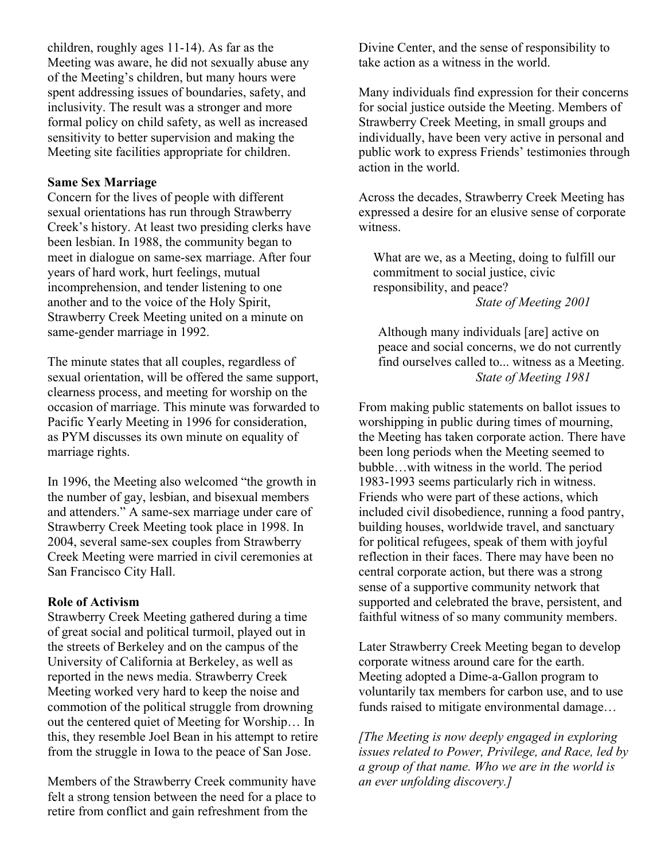children, roughly ages 11-14). As far as the Meeting was aware, he did not sexually abuse any of the Meeting's children, but many hours were spent addressing issues of boundaries, safety, and inclusivity. The result was a stronger and more formal policy on child safety, as well as increased sensitivity to better supervision and making the Meeting site facilities appropriate for children.

## **Same Sex Marriage**

Concern for the lives of people with different sexual orientations has run through Strawberry Creek's history. At least two presiding clerks have been lesbian. In 1988, the community began to meet in dialogue on same-sex marriage. After four years of hard work, hurt feelings, mutual incomprehension, and tender listening to one another and to the voice of the Holy Spirit, Strawberry Creek Meeting united on a minute on same-gender marriage in 1992.

The minute states that all couples, regardless of sexual orientation, will be offered the same support, clearness process, and meeting for worship on the occasion of marriage. This minute was forwarded to Pacific Yearly Meeting in 1996 for consideration, as PYM discusses its own minute on equality of marriage rights.

In 1996, the Meeting also welcomed "the growth in the number of gay, lesbian, and bisexual members and attenders." A same-sex marriage under care of Strawberry Creek Meeting took place in 1998. In 2004, several same-sex couples from Strawberry Creek Meeting were married in civil ceremonies at San Francisco City Hall.

### **Role of Activism**

Strawberry Creek Meeting gathered during a time of great social and political turmoil, played out in the streets of Berkeley and on the campus of the University of California at Berkeley, as well as reported in the news media. Strawberry Creek Meeting worked very hard to keep the noise and commotion of the political struggle from drowning out the centered quiet of Meeting for Worship… In this, they resemble Joel Bean in his attempt to retire from the struggle in Iowa to the peace of San Jose.

Members of the Strawberry Creek community have felt a strong tension between the need for a place to retire from conflict and gain refreshment from the

Divine Center, and the sense of responsibility to take action as a witness in the world.

Many individuals find expression for their concerns for social justice outside the Meeting. Members of Strawberry Creek Meeting, in small groups and individually, have been very active in personal and public work to express Friends' testimonies through action in the world.

Across the decades, Strawberry Creek Meeting has expressed a desire for an elusive sense of corporate witness.

What are we, as a Meeting, doing to fulfill our commitment to social justice, civic responsibility, and peace? *State of Meeting 2001*

Although many individuals [are] active on peace and social concerns, we do not currently find ourselves called to... witness as a Meeting. *State of Meeting 1981*

From making public statements on ballot issues to worshipping in public during times of mourning, the Meeting has taken corporate action. There have been long periods when the Meeting seemed to bubble…with witness in the world. The period 1983-1993 seems particularly rich in witness. Friends who were part of these actions, which included civil disobedience, running a food pantry, building houses, worldwide travel, and sanctuary for political refugees, speak of them with joyful reflection in their faces. There may have been no central corporate action, but there was a strong sense of a supportive community network that supported and celebrated the brave, persistent, and faithful witness of so many community members.

Later Strawberry Creek Meeting began to develop corporate witness around care for the earth. Meeting adopted a Dime-a-Gallon program to voluntarily tax members for carbon use, and to use funds raised to mitigate environmental damage…

*[The Meeting is now deeply engaged in exploring issues related to Power, Privilege, and Race, led by a group of that name. Who we are in the world is an ever unfolding discovery.]*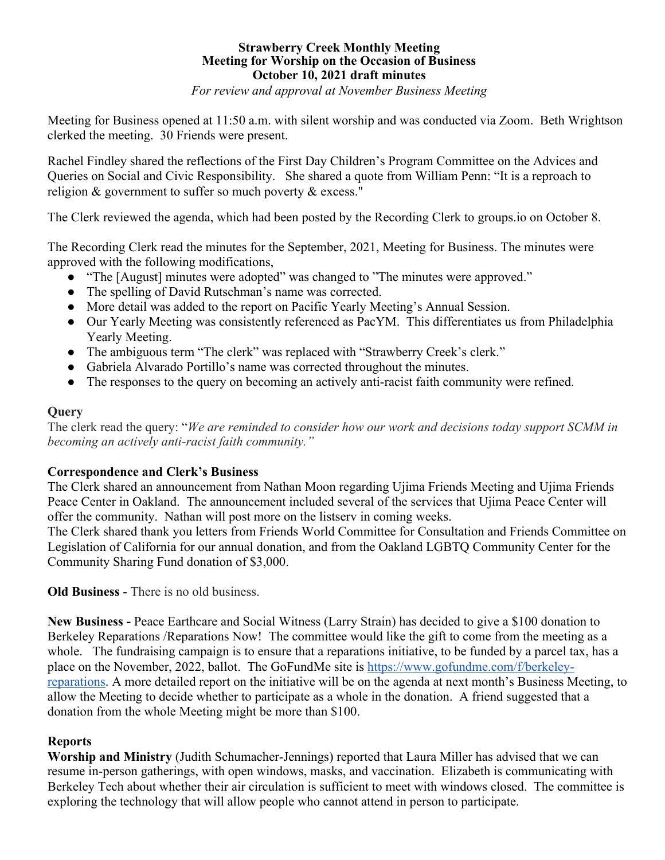# **Strawberry Creek Monthly Meeting Meeting for Worship on the Occasion of Business October 10, 2021 draft minutes**

*For review and approval at November Business Meeting*

Meeting for Business opened at 11:50 a.m. with silent worship and was conducted via Zoom. Beth Wrightson clerked the meeting. 30 Friends were present.

Rachel Findley shared the reflections of the First Day Children's Program Committee on the Advices and Queries on Social and Civic Responsibility. She shared a quote from William Penn: "It is a reproach to religion & government to suffer so much poverty & excess."

The Clerk reviewed the agenda, which had been posted by the Recording Clerk to groups.io on October 8.

The Recording Clerk read the minutes for the September, 2021, Meeting for Business. The minutes were approved with the following modifications,

- "The [August] minutes were adopted" was changed to "The minutes were approved."
- The spelling of David Rutschman's name was corrected.
- More detail was added to the report on Pacific Yearly Meeting's Annual Session.
- Our Yearly Meeting was consistently referenced as PacYM. This differentiates us from Philadelphia Yearly Meeting.
- The ambiguous term "The clerk" was replaced with "Strawberry Creek's clerk."
- Gabriela Alvarado Portillo's name was corrected throughout the minutes.
- The responses to the query on becoming an actively anti-racist faith community were refined.

## **Query**

The clerk read the query: "*We are reminded to consider how our work and decisions today support SCMM in becoming an actively anti-racist faith community."*

# **Correspondence and Clerk's Business**

The Clerk shared an announcement from Nathan Moon regarding Ujima Friends Meeting and Ujima Friends Peace Center in Oakland. The announcement included several of the services that Ujima Peace Center will offer the community. Nathan will post more on the listserv in coming weeks.

The Clerk shared thank you letters from Friends World Committee for Consultation and Friends Committee on Legislation of California for our annual donation, and from the Oakland LGBTQ Community Center for the Community Sharing Fund donation of \$3,000.

**Old Business** - There is no old business.

**New Business -** Peace Earthcare and Social Witness (Larry Strain) has decided to give a \$100 donation to Berkeley Reparations /Reparations Now! The committee would like the gift to come from the meeting as a whole. The fundraising campaign is to ensure that a reparations initiative, to be funded by a parcel tax, has a place on the November, 2022, ballot. The GoFundMe site is https://www.gofundme.com/f/berkeleyreparations. A more detailed report on the initiative will be on the agenda at next month's Business Meeting, to allow the Meeting to decide whether to participate as a whole in the donation. A friend suggested that a donation from the whole Meeting might be more than \$100.

# **Reports**

**Worship and Ministry** (Judith Schumacher-Jennings) reported that Laura Miller has advised that we can resume in-person gatherings, with open windows, masks, and vaccination. Elizabeth is communicating with Berkeley Tech about whether their air circulation is sufficient to meet with windows closed. The committee is exploring the technology that will allow people who cannot attend in person to participate.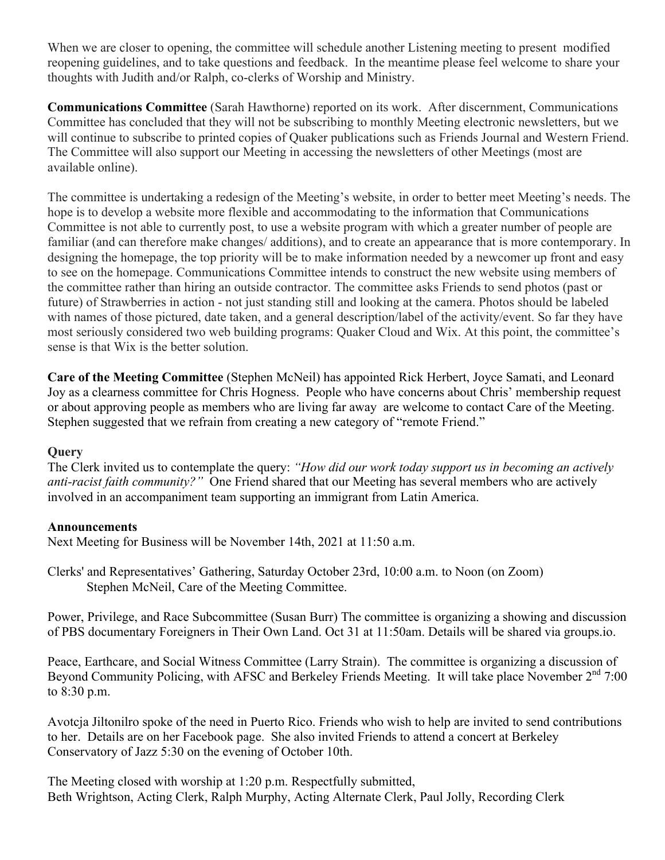When we are closer to opening, the committee will schedule another Listening meeting to present modified reopening guidelines, and to take questions and feedback. In the meantime please feel welcome to share your thoughts with Judith and/or Ralph, co-clerks of Worship and Ministry.

**Communications Committee** (Sarah Hawthorne) reported on its work. After discernment, Communications Committee has concluded that they will not be subscribing to monthly Meeting electronic newsletters, but we will continue to subscribe to printed copies of Quaker publications such as Friends Journal and Western Friend. The Committee will also support our Meeting in accessing the newsletters of other Meetings (most are available online).

The committee is undertaking a redesign of the Meeting's website, in order to better meet Meeting's needs. The hope is to develop a website more flexible and accommodating to the information that Communications Committee is not able to currently post, to use a website program with which a greater number of people are familiar (and can therefore make changes/ additions), and to create an appearance that is more contemporary. In designing the homepage, the top priority will be to make information needed by a newcomer up front and easy to see on the homepage. Communications Committee intends to construct the new website using members of the committee rather than hiring an outside contractor. The committee asks Friends to send photos (past or future) of Strawberries in action - not just standing still and looking at the camera. Photos should be labeled with names of those pictured, date taken, and a general description/label of the activity/event. So far they have most seriously considered two web building programs: Quaker Cloud and Wix. At this point, the committee's sense is that Wix is the better solution.

**Care of the Meeting Committee** (Stephen McNeil) has appointed Rick Herbert, Joyce Samati, and Leonard Joy as a clearness committee for Chris Hogness. People who have concerns about Chris' membership request or about approving people as members who are living far away are welcome to contact Care of the Meeting. Stephen suggested that we refrain from creating a new category of "remote Friend."

# **Query**

The Clerk invited us to contemplate the query: *"How did our work today support us in becoming an actively anti-racist faith community?"* One Friend shared that our Meeting has several members who are actively involved in an accompaniment team supporting an immigrant from Latin America.

# **Announcements**

Next Meeting for Business will be November 14th, 2021 at 11:50 a.m.

Clerks' and Representatives' Gathering, Saturday October 23rd, 10:00 a.m. to Noon (on Zoom) Stephen McNeil, Care of the Meeting Committee.

Power, Privilege, and Race Subcommittee (Susan Burr) The committee is organizing a showing and discussion of PBS documentary Foreigners in Their Own Land. Oct 31 at 11:50am. Details will be shared via groups.io.

Peace, Earthcare, and Social Witness Committee (Larry Strain). The committee is organizing a discussion of Beyond Community Policing, with AFSC and Berkeley Friends Meeting. It will take place November  $2<sup>nd</sup>$  7:00 to 8:30 p.m.

Avotcja Jiltonilro spoke of the need in Puerto Rico. Friends who wish to help are invited to send contributions to her. Details are on her Facebook page. She also invited Friends to attend a concert at Berkeley Conservatory of Jazz 5:30 on the evening of October 10th.

The Meeting closed with worship at 1:20 p.m. Respectfully submitted, Beth Wrightson, Acting Clerk, Ralph Murphy, Acting Alternate Clerk, Paul Jolly, Recording Clerk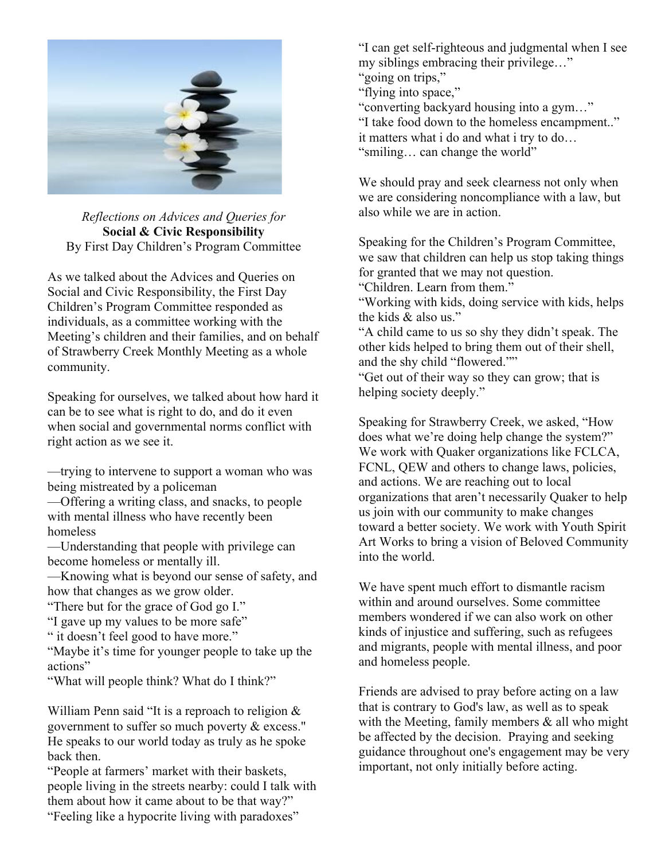

*Reflections on Advices and Queries for* **Social & Civic Responsibility** By First Day Children's Program Committee

As we talked about the Advices and Queries on Social and Civic Responsibility, the First Day Children's Program Committee responded as individuals, as a committee working with the Meeting's children and their families, and on behalf of Strawberry Creek Monthly Meeting as a whole community.

Speaking for ourselves, we talked about how hard it can be to see what is right to do, and do it even when social and governmental norms conflict with right action as we see it.

—trying to intervene to support a woman who was being mistreated by a policeman

—Offering a writing class, and snacks, to people with mental illness who have recently been homeless

—Understanding that people with privilege can become homeless or mentally ill.

—Knowing what is beyond our sense of safety, and how that changes as we grow older.

"There but for the grace of God go I."

"I gave up my values to be more safe"

" it doesn't feel good to have more."

"Maybe it's time for younger people to take up the actions"

"What will people think? What do I think?"

William Penn said "It is a reproach to religion & government to suffer so much poverty & excess." He speaks to our world today as truly as he spoke back then.

"People at farmers' market with their baskets, people living in the streets nearby: could I talk with them about how it came about to be that way?" "Feeling like a hypocrite living with paradoxes"

"I can get self-righteous and judgmental when I see my siblings embracing their privilege…"

"going on trips,"

"flying into space,"

"converting backyard housing into a gym…"

"I take food down to the homeless encampment.."

it matters what i do and what i try to do…

"smiling… can change the world"

We should pray and seek clearness not only when we are considering noncompliance with a law, but also while we are in action.

Speaking for the Children's Program Committee, we saw that children can help us stop taking things for granted that we may not question.

"Children. Learn from them."

"Working with kids, doing service with kids, helps the kids & also us."

"A child came to us so shy they didn't speak. The other kids helped to bring them out of their shell, and the shy child "flowered.""

"Get out of their way so they can grow; that is helping society deeply."

Speaking for Strawberry Creek, we asked, "How does what we're doing help change the system?" We work with Quaker organizations like FCLCA, FCNL, OEW and others to change laws, policies, and actions. We are reaching out to local organizations that aren't necessarily Quaker to help us join with our community to make changes toward a better society. We work with Youth Spirit Art Works to bring a vision of Beloved Community into the world.

We have spent much effort to dismantle racism within and around ourselves. Some committee members wondered if we can also work on other kinds of injustice and suffering, such as refugees and migrants, people with mental illness, and poor and homeless people.

Friends are advised to pray before acting on a law that is contrary to God's law, as well as to speak with the Meeting, family members  $\&$  all who might be affected by the decision. Praying and seeking guidance throughout one's engagement may be very important, not only initially before acting.